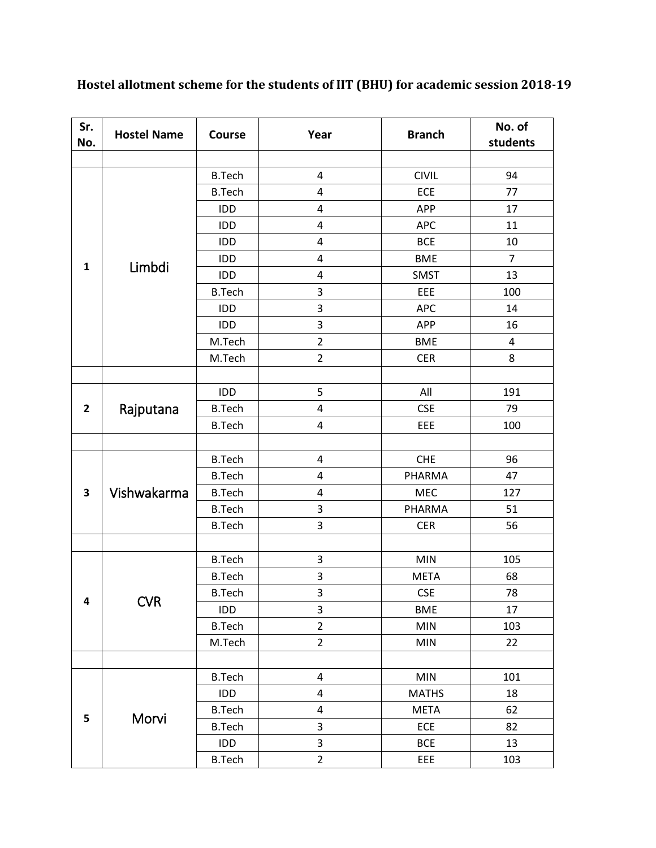| Sr.<br>No.   | <b>Hostel Name</b> | Course        | Year                    | <b>Branch</b> | No. of<br>students      |
|--------------|--------------------|---------------|-------------------------|---------------|-------------------------|
|              |                    |               |                         |               |                         |
| $\mathbf{1}$ | Limbdi             | <b>B.Tech</b> | 4                       | <b>CIVIL</b>  | 94                      |
|              |                    | <b>B.Tech</b> | 4                       | ECE           | 77                      |
|              |                    | IDD           | 4                       | APP           | 17                      |
|              |                    | IDD           | 4                       | <b>APC</b>    | 11                      |
|              |                    | IDD           | 4                       | <b>BCE</b>    | 10                      |
|              |                    | IDD           | $\overline{\mathbf{4}}$ | <b>BME</b>    | $\overline{7}$          |
|              |                    | IDD           | 4                       | <b>SMST</b>   | 13                      |
|              |                    | <b>B.Tech</b> | 3                       | EEE           | 100                     |
|              |                    | IDD           | 3                       | <b>APC</b>    | 14                      |
|              |                    | IDD           | 3                       | APP           | 16                      |
|              |                    | M.Tech        | $\overline{2}$          | <b>BME</b>    | $\overline{\mathbf{4}}$ |
|              |                    | M.Tech        | $\overline{2}$          | <b>CER</b>    | 8                       |
|              |                    |               |                         |               |                         |
|              |                    | IDD           | 5                       | All           | 191                     |
| $\mathbf{2}$ | Rajputana          | <b>B.Tech</b> | 4                       | <b>CSE</b>    | 79                      |
|              |                    | <b>B.Tech</b> | $\overline{\mathbf{4}}$ | EEE           | 100                     |
|              |                    |               |                         |               |                         |
|              | Vishwakarma        | <b>B.Tech</b> | 4                       | <b>CHE</b>    | 96                      |
| 3            |                    | <b>B.Tech</b> | 4                       | PHARMA        | 47                      |
|              |                    | <b>B.Tech</b> | 4                       | MEC           | 127                     |
|              |                    | <b>B.Tech</b> | 3                       | PHARMA        | 51                      |
|              |                    | <b>B.Tech</b> | 3                       | <b>CER</b>    | 56                      |
|              |                    |               |                         |               |                         |
|              | <b>CVR</b>         | <b>B.Tech</b> | 3                       | <b>MIN</b>    | 105                     |
|              |                    | <b>B.Tech</b> | 3                       | <b>META</b>   | 68                      |
|              |                    | <b>B.Tech</b> | 3                       | <b>CSE</b>    | 78                      |
| 4            |                    | IDD           | 3                       | <b>BME</b>    | 17                      |
|              |                    | <b>B.Tech</b> | $\overline{2}$          | <b>MIN</b>    | 103                     |
|              |                    | M.Tech        | $\overline{2}$          | <b>MIN</b>    | 22                      |
|              |                    |               |                         |               |                         |
| 5            | Morvi              | <b>B.Tech</b> | 4                       | <b>MIN</b>    | 101                     |
|              |                    | IDD           | 4                       | <b>MATHS</b>  | 18                      |
|              |                    | <b>B.Tech</b> | 4                       | <b>META</b>   | 62                      |
|              |                    | <b>B.Tech</b> | 3                       | ECE           | 82                      |
|              |                    | IDD           | 3                       | <b>BCE</b>    | 13                      |
|              |                    | <b>B.Tech</b> | $\overline{2}$          | EEE           | 103                     |

**Hostel allotment scheme for the students of IIT (BHU) for academic session 2018-19**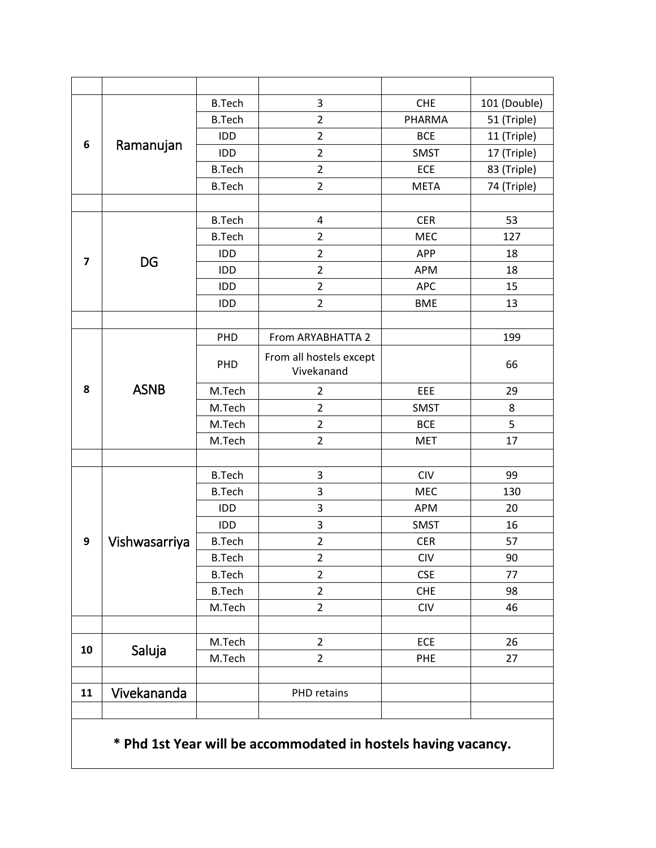| 6                       | Ramanujan     | <b>B.Tech</b> | 3                       | <b>CHE</b>  | 101 (Double) |
|-------------------------|---------------|---------------|-------------------------|-------------|--------------|
|                         |               | <b>B.Tech</b> | $\overline{2}$          | PHARMA      | 51 (Triple)  |
|                         |               | IDD           | $\overline{2}$          | <b>BCE</b>  | 11 (Triple)  |
|                         |               | IDD           | $\overline{2}$          | <b>SMST</b> | 17 (Triple)  |
|                         |               | <b>B.Tech</b> | $\overline{2}$          | ECE         | 83 (Triple)  |
|                         |               | <b>B.Tech</b> | $\overline{2}$          | <b>META</b> | 74 (Triple)  |
|                         |               |               |                         |             |              |
|                         | <b>DG</b>     | <b>B.Tech</b> | $\pmb{4}$               | <b>CER</b>  | 53           |
|                         |               | <b>B.Tech</b> | $\overline{2}$          | MEC         | 127          |
|                         |               | IDD           | $\overline{2}$          | APP         | 18           |
| $\overline{\mathbf{z}}$ |               | IDD           | $\overline{2}$          | <b>APM</b>  | 18           |
|                         |               | IDD           | $\mathbf 2$             | <b>APC</b>  | 15           |
|                         |               | IDD           | $\overline{2}$          | <b>BME</b>  | 13           |
|                         |               |               |                         |             |              |
|                         |               | PHD           | From ARYABHATTA 2       |             | 199          |
|                         | <b>ASNB</b>   | PHD           | From all hostels except |             | 66           |
|                         |               |               | Vivekanand              |             |              |
| 8                       |               | M.Tech        | $\overline{2}$          | EEE         | 29           |
|                         |               | M.Tech        | $\overline{2}$          | <b>SMST</b> | 8            |
|                         |               | M.Tech        | $\overline{2}$          | <b>BCE</b>  | 5            |
|                         |               | M.Tech        | $\overline{2}$          | <b>MET</b>  | 17           |
|                         |               |               |                         |             |              |
|                         | Vishwasarriya | <b>B.Tech</b> | 3                       | <b>CIV</b>  | 99           |
|                         |               | <b>B.Tech</b> | 3                       | MEC         | 130          |
|                         |               | IDD           | 3                       | <b>APM</b>  | 20           |
|                         |               | IDD           | 3                       | <b>SMST</b> | 16           |
| $\boldsymbol{9}$        |               | <b>B.Tech</b> | $\overline{2}$          | <b>CER</b>  | 57           |
|                         |               | <b>B.Tech</b> | 2                       | <b>CIV</b>  | 90           |
|                         |               | <b>B.Tech</b> | $\overline{c}$          | <b>CSE</b>  | 77           |
|                         |               | <b>B.Tech</b> | $\overline{2}$          | CHE         | 98           |
|                         |               | M.Tech        | $\overline{2}$          | CIV         | 46           |
|                         |               |               |                         |             |              |
| 10                      | Saluja        | M.Tech        | $\overline{2}$          | ECE         | 26           |
|                         |               | M.Tech        | $\overline{2}$          | <b>PHE</b>  | 27           |
|                         |               |               |                         |             |              |
| 11                      | Vivekananda   |               | PHD retains             |             |              |
|                         |               |               |                         |             |              |
|                         |               |               |                         |             |              |

**\* Phd 1st Year will be accommodated in hostels having vacancy.**